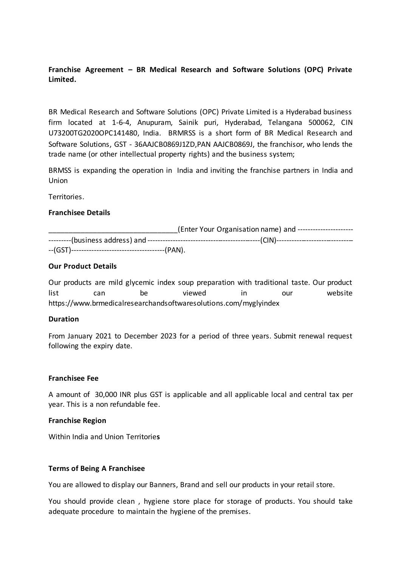# **Franchise Agreement – BR Medical Research and Software Solutions (OPC) Private Limited.**

BR Medical Research and Software Solutions (OPC) Private Limited is a Hyderabad business firm located at 1-6-4, Anupuram, Sainik puri, Hyderabad, Telangana 500062, CIN U73200TG2020OPC141480, India. BRMRSS is a short form of BR Medical Research and Software Solutions, GST - 36AAJCB0869J1ZD,PAN AAJCB0869J, the franchisor, who lends the trade name (or other intellectual property rights) and the business system;

BRMSS is expanding the operation in India and inviting the franchise partners in India and Union

Territories.

### **Franchisee Details**

| (Enter Your Organisation name) and ---------------------- |  |  |
|-----------------------------------------------------------|--|--|
|                                                           |  |  |
|                                                           |  |  |

## **Our Product Details**

Our products are mild glycemic index soup preparation with traditional taste. Our product list can be viewed in our website https://www.brmedicalresearchandsoftwaresolutions.com/myglyindex

### **Duration**

From January 2021 to December 2023 for a period of three years. Submit renewal request following the expiry date.

### **Franchisee Fee**

A amount of 30,000 INR plus GST is applicable and all applicable local and central tax per year. This is a non refundable fee.

### **Franchise Region**

Within India and Union Territorie**s** 

## **Terms of Being A Franchisee**

You are allowed to display our Banners, Brand and sell our products in your retail store.

You should provide clean , hygiene store place for storage of products. You should take adequate procedure to maintain the hygiene of the premises.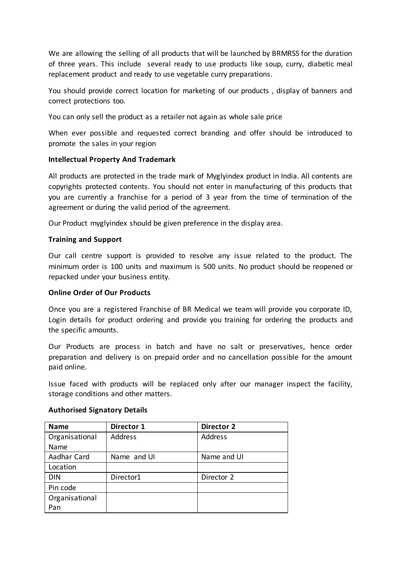We are allowing the selling of all products that will be launched by BRMRSS for the duration of three years. This include several ready to use products like soup, curry, diabetic meal replacement product and ready to use vegetable curry preparations.

You should provide correct location for marketing of our products , display of banners and correct protections too.

You can only sell the product as a retailer not again as whole sale price

When ever possible and requested correct branding and offer should be introduced to promote the sales in your region

## **Intellectual Property And Trademark**

All products are protected in the trade mark of Myglyindex product in India. All contents are copyrights protected contents. You should not enter in manufacturing of this products that you are currently a franchise for a period of 3 year from the time of termination of the agreement or during the valid period of the agreement.

Our Product myglyindex should be given preference in the display area.

## **Training and Support**

Our call centre support is provided to resolve any issue related to the product. The minimum order is 100 units and maximum is 500 units. No product should be reopened or repacked under your business entity.

## **Online Order of Our Products**

Once you are a registered Franchise of BR Medical we team will provide you corporate ID, Login details for product ordering and provide you training for ordering the products and the specific amounts.

Our Products are process in batch and have no salt or preservatives, hence order preparation and delivery is on prepaid order and no cancellation possible for the amount paid online.

Issue faced with products will be replaced only after our manager inspect the facility, storage conditions and other matters.

| <b>Name</b>    | Director 1  | <b>Director 2</b> |
|----------------|-------------|-------------------|
| Organisational | Address     | <b>Address</b>    |
| Name           |             |                   |
| Aadhar Card    | Name and UI | Name and UI       |
| Location       |             |                   |
| <b>DIN</b>     | Director1   | Director 2        |
| Pin code       |             |                   |
| Organisational |             |                   |
| Pan            |             |                   |

## **Authorised Signatory Details**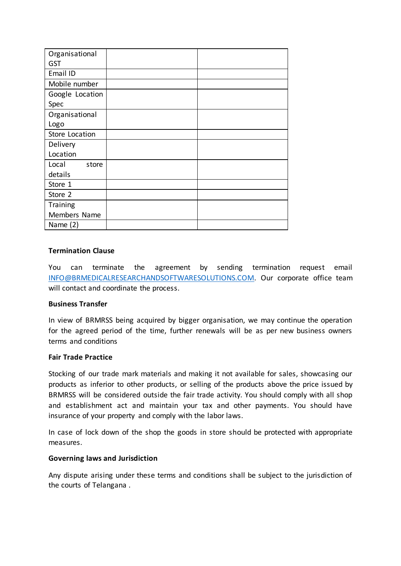| Organisational  |  |
|-----------------|--|
| <b>GST</b>      |  |
| Email ID        |  |
| Mobile number   |  |
| Google Location |  |
| Spec            |  |
| Organisational  |  |
| Logo            |  |
| Store Location  |  |
| Delivery        |  |
| Location        |  |
| Local<br>store  |  |
| details         |  |
| Store 1         |  |
| Store 2         |  |
| Training        |  |
| Members Name    |  |
| Name $(2)$      |  |

## **Termination Clause**

You can terminate the agreement by sending termination request email [INFO@BRMEDICALRESEARCHANDSOFTWARESOLUTIONS.COM.](mailto:INFO@BRMEDICALRESEARCHANDSOFTWARESOLUTIONS.COM) Our corporate office team will contact and coordinate the process.

### **Business Transfer**

In view of BRMRSS being acquired by bigger organisation, we may continue the operation for the agreed period of the time, further renewals will be as per new business owners terms and conditions

### **Fair Trade Practice**

Stocking of our trade mark materials and making it not available for sales, showcasing our products as inferior to other products, or selling of the products above the price issued by BRMRSS will be considered outside the fair trade activity. You should comply with all shop and establishment act and maintain your tax and other payments. You should have insurance of your property and comply with the labor laws.

In case of lock down of the shop the goods in store should be protected with appropriate measures.

## **Governing laws and Jurisdiction**

Any dispute arising under these terms and conditions shall be subject to the jurisdiction of the courts of Telangana .